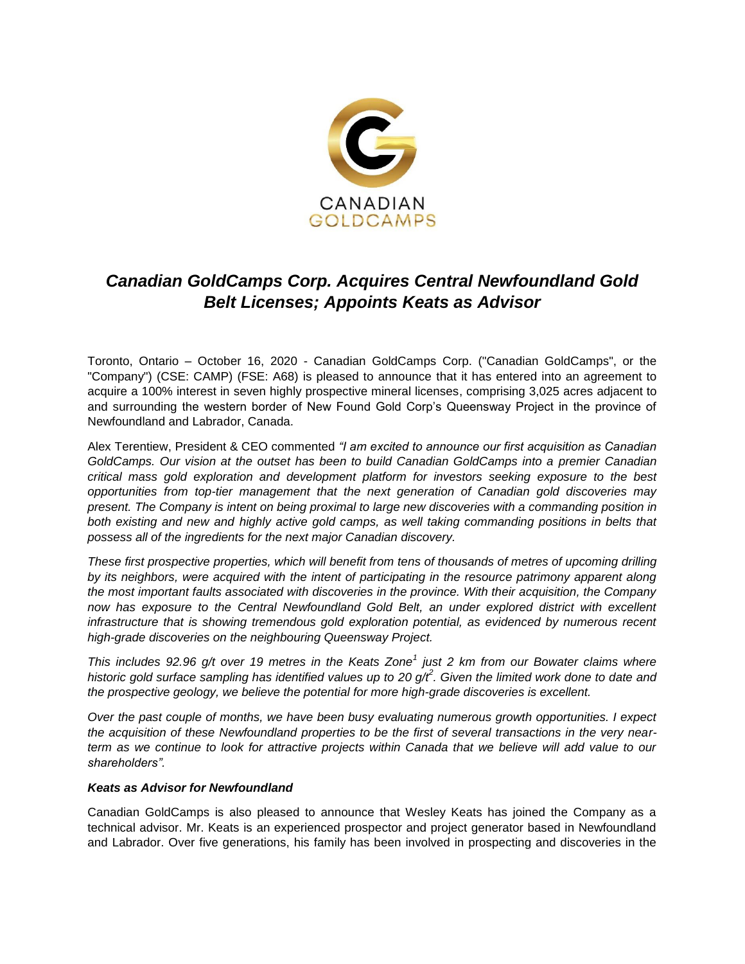

# *Canadian GoldCamps Corp. Acquires Central Newfoundland Gold Belt Licenses; Appoints Keats as Advisor*

Toronto, Ontario – October 16, 2020 - Canadian GoldCamps Corp. ("Canadian GoldCamps", or the "Company") (CSE: CAMP) (FSE: A68) is pleased to announce that it has entered into an agreement to acquire a 100% interest in seven highly prospective mineral licenses, comprising 3,025 acres adjacent to and surrounding the western border of New Found Gold Corp's Queensway Project in the province of Newfoundland and Labrador, Canada.

Alex Terentiew, President & CEO commented *"I am excited to announce our first acquisition as Canadian GoldCamps. Our vision at the outset has been to build Canadian GoldCamps into a premier Canadian critical mass gold exploration and development platform for investors seeking exposure to the best opportunities from top-tier management that the next generation of Canadian gold discoveries may present. The Company is intent on being proximal to large new discoveries with a commanding position in*  both existing and new and highly active gold camps, as well taking commanding positions in belts that *possess all of the ingredients for the next major Canadian discovery.*

*These first prospective properties, which will benefit from tens of thousands of metres of upcoming drilling by its neighbors, were acquired with the intent of participating in the resource patrimony apparent along the most important faults associated with discoveries in the province. With their acquisition, the Company now has exposure to the Central Newfoundland Gold Belt, an under explored district with excellent infrastructure that is showing tremendous gold exploration potential, as evidenced by numerous recent high-grade discoveries on the neighbouring Queensway Project.* 

*This includes 92.96 g/t over 19 metres in the Keats Zone<sup>1</sup> just 2 km from our Bowater claims where*  historic gold surface sampling has identified values up to 20 g/t<sup>2</sup>. Given the limited work done to date and *the prospective geology, we believe the potential for more high-grade discoveries is excellent.*

*Over the past couple of months, we have been busy evaluating numerous growth opportunities. I expect the acquisition of these Newfoundland properties to be the first of several transactions in the very nearterm as we continue to look for attractive projects within Canada that we believe will add value to our shareholders".* 

#### *Keats as Advisor for Newfoundland*

Canadian GoldCamps is also pleased to announce that Wesley Keats has joined the Company as a technical advisor. Mr. Keats is an experienced prospector and project generator based in Newfoundland and Labrador. Over five generations, his family has been involved in prospecting and discoveries in the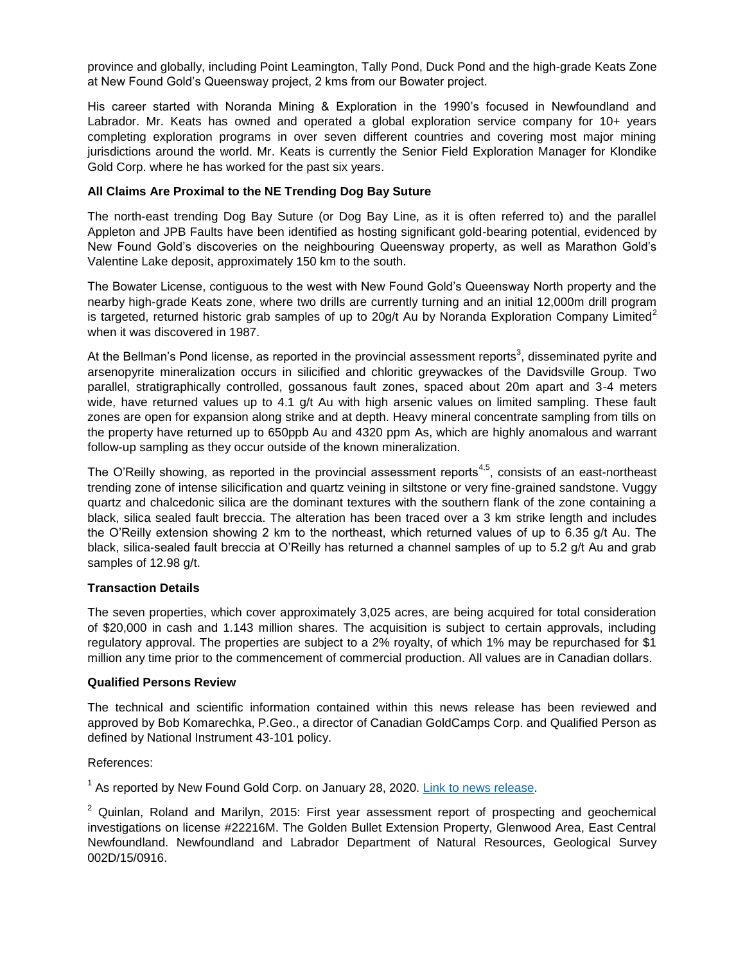province and globally, including Point Leamington, Tally Pond, Duck Pond and the high-grade Keats Zone at New Found Gold's Queensway project, 2 kms from our Bowater project.

His career started with Noranda Mining & Exploration in the 1990's focused in Newfoundland and Labrador. Mr. Keats has owned and operated a global exploration service company for 10+ years completing exploration programs in over seven different countries and covering most major mining jurisdictions around the world. Mr. Keats is currently the Senior Field Exploration Manager for Klondike Gold Corp. where he has worked for the past six years.

## **All Claims Are Proximal to the NE Trending Dog Bay Suture**

The north-east trending Dog Bay Suture (or Dog Bay Line, as it is often referred to) and the parallel Appleton and JPB Faults have been identified as hosting significant gold-bearing potential, evidenced by New Found Gold's discoveries on the neighbouring Queensway property, as well as Marathon Gold's Valentine Lake deposit, approximately 150 km to the south.

The Bowater License, contiguous to the west with New Found Gold's Queensway North property and the nearby high-grade Keats zone, where two drills are currently turning and an initial 12,000m drill program is targeted, returned historic grab samples of up to 20g/t Au by Noranda Exploration Company Limited<sup>2</sup> when it was discovered in 1987.

At the Bellman's Pond license, as reported in the provincial assessment reports<sup>3</sup>, disseminated pyrite and arsenopyrite mineralization occurs in silicified and chloritic greywackes of the Davidsville Group. Two parallel, stratigraphically controlled, gossanous fault zones, spaced about 20m apart and 3-4 meters wide, have returned values up to 4.1 g/t Au with high arsenic values on limited sampling. These fault zones are open for expansion along strike and at depth. Heavy mineral concentrate sampling from tills on the property have returned up to 650ppb Au and 4320 ppm As, which are highly anomalous and warrant follow-up sampling as they occur outside of the known mineralization.

The O'Reilly showing, as reported in the provincial assessment reports<sup>4,5</sup>, consists of an east-northeast trending zone of intense silicification and quartz veining in siltstone or very fine-grained sandstone. Vuggy quartz and chalcedonic silica are the dominant textures with the southern flank of the zone containing a black, silica sealed fault breccia. The alteration has been traced over a 3 km strike length and includes the O'Reilly extension showing 2 km to the northeast, which returned values of up to 6.35 g/t Au. The black, silica-sealed fault breccia at O'Reilly has returned a channel samples of up to 5.2 g/t Au and grab samples of 12.98 g/t.

#### **Transaction Details**

The seven properties, which cover approximately 3,025 acres, are being acquired for total consideration of \$20,000 in cash and 1.143 million shares. The acquisition is subject to certain approvals, including regulatory approval. The properties are subject to a 2% royalty, of which 1% may be repurchased for \$1 million any time prior to the commencement of commercial production. All values are in Canadian dollars.

#### **Qualified Persons Review**

The technical and scientific information contained within this news release has been reviewed and approved by Bob Komarechka, P.Geo., a director of Canadian GoldCamps Corp. and Qualified Person as defined by National Instrument 43-101 policy.

References:

<sup>1</sup> As reported by New Found Gold Corp. on January 28, 2020. [Link to news release.](https://newfoundgold.ca/news/mexican-gold-to-complete-business-combination-with-new-found-gold-intersects-92-86-g-t-au-over-19-0-metres-at-queensway-gold-project-in-newfoundland/)

 $2$  Quinlan, Roland and Marilyn, 2015: First year assessment report of prospecting and geochemical investigations on license #22216M. The Golden Bullet Extension Property, Glenwood Area, East Central Newfoundland. Newfoundland and Labrador Department of Natural Resources, Geological Survey 002D/15/0916.